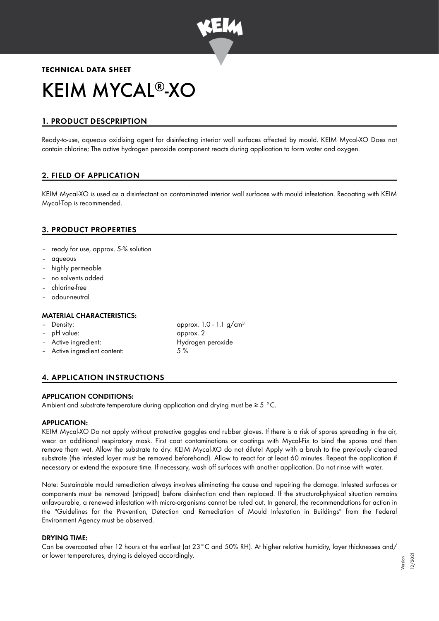

# **TECHNICAL DATA SHEET** KEIM MYCAL®-XO

# 1. PRODUCT DESCPRIPTION

Ready-to-use, aqueous oxidising agent for disinfecting interior wall surfaces affected by mould. KEIM Mycal-XO Does not contain chlorine; The active hydrogen peroxide component reacts during application to form water and oxygen.

# 2. FIELD OF APPLICATION

KEIM Mycal-XO is used as a disinfectant on contaminated interior wall surfaces with mould infestation. Recoating with KEIM Mycal-Top is recommended.

# 3. PRODUCT PROPERTIES

- ready for use, approx. 5-% solution
- aqueous
- highly permeable
- no solvents added
- chlorine-free
- odour-neutral

## MATERIAL CHARACTERISTICS:

| - Density:                   | approx. 1.0 - 1.1 $g/cm^{3}$ |
|------------------------------|------------------------------|
| - pH value:                  | approx. 2                    |
| - Active ingredient:         | Hydrogen peroxide            |
| - Active ingredient content: | 5%                           |

# 4. APPLICATION INSTRUCTIONS

## APPLICATION CONDITIONS:

Ambient and substrate temperature during application and drying must be  $\geq 5$  °C.

#### APPLICATION:

KEIM Mycal-XO Do not apply without protective goggles and rubber gloves. If there is a risk of spores spreading in the air, wear an additional respiratory mask. First coat contaminations or coatings with Mycal-Fix to bind the spores and then remove them wet. Allow the substrate to dry. KEIM Mycal-XO do not dilute! Apply with a brush to the previously cleaned substrate (the infested layer must be removed beforehand). Allow to react for at least 60 minutes. Repeat the application if necessary or extend the exposure time. If necessary, wash off surfaces with another application. Do not rinse with water.

Note: Sustainable mould remediation always involves eliminating the cause and repairing the damage. Infested surfaces or components must be removed (stripped) before disinfection and then replaced. If the structural-physical situation remains unfavourable, a renewed infestation with micro-organisms cannot be ruled out. In general, the recommendations for action in the "Guidelines for the Prevention, Detection and Remediation of Mould Infestation in Buildings" from the Federal Environment Agency must be observed.

#### DRYING TIME:

Can be overcoated after 12 hours at the earliest (at 23°C and 50% RH). At higher relative humidity, layer thicknesses and/ or lower temperatures, drying is delayed accordingly.